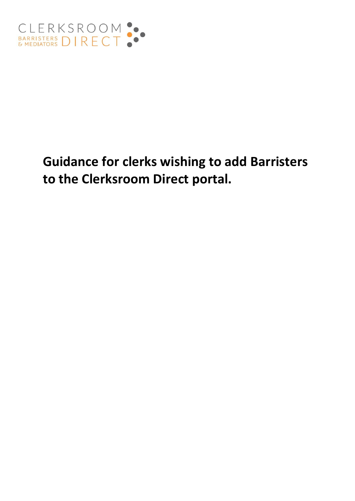

# **Guidance for clerks wishing to add Barristers to the Clerksroom Direct portal.**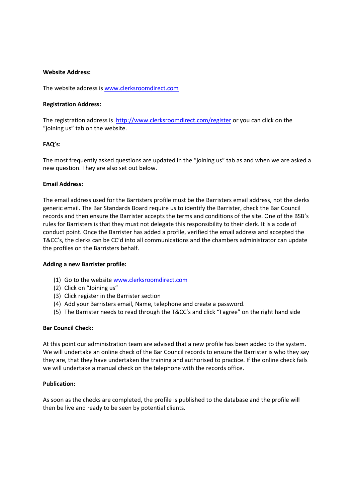# **Website Address:**

The website address is [www.clerksroomdirect.com](http://www.clerksroomdirect.com/)

# **Registration Address:**

The registration address is<http://www.clerksroomdirect.com/register> or you can click on the "joining us" tab on the website.

# **FAQ's:**

The most frequently asked questions are updated in the "joining us" tab as and when we are asked a new question. They are also set out below.

# **Email Address:**

The email address used for the Barristers profile must be the Barristers email address, not the clerks generic email. The Bar Standards Board require us to identify the Barrister, check the Bar Council records and then ensure the Barrister accepts the terms and conditions of the site. One of the BSB's rules for Barristers is that they must not delegate this responsibility to their clerk. It is a code of conduct point. Once the Barrister has added a profile, verified the email address and accepted the T&CC's, the clerks can be CC'd into all communications and the chambers administrator can update the profiles on the Barristers behalf.

### **Adding a new Barrister profile:**

- (1) Go to the website [www.clerksroomdirect.com](http://www.clerksroomdirect.com/)
- (2) Click on "Joining us"
- (3) Click register in the Barrister section
- (4) Add your Barristers email, Name, telephone and create a password.
- (5) The Barrister needs to read through the T&CC's and click "I agree" on the right hand side

### **Bar Council Check:**

At this point our administration team are advised that a new profile has been added to the system. We will undertake an online check of the Bar Council records to ensure the Barrister is who they say they are, that they have undertaken the training and authorised to practice. If the online check fails we will undertake a manual check on the telephone with the records office.

### **Publication:**

As soon as the checks are completed, the profile is published to the database and the profile will then be live and ready to be seen by potential clients.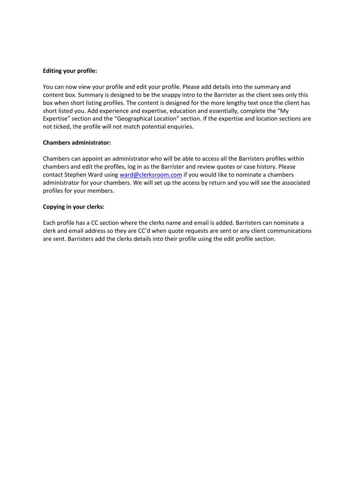# **Editing your profile:**

You can now view your profile and edit your profile. Please add details into the summary and content box. Summary is designed to be the snappy intro to the Barrister as the client sees only this box when short listing profiles. The content is designed for the more lengthy text once the client has short listed you. Add experience and expertise, education and essentially, complete the "My Expertise" section and the "Geographical Location" section. If the expertise and location sections are not ticked, the profile will not match potential enquiries.

# **Chambers administrator:**

Chambers can appoint an administrator who will be able to access all the Barristers profiles within chambers and edit the profiles, log in as the Barrister and review quotes or case history. Please contact Stephen Ward usin[g ward@clerksroom.com](mailto:ward@clerksroom.com) if you would like to nominate a chambers administrator for your chambers. We will set up the access by return and you will see the associated profiles for your members.

# **Copying in your clerks:**

Each profile has a CC section where the clerks name and email is added. Barristers can nominate a clerk and email address so they are CC'd when quote requests are sent or any client communications are sent. Barristers add the clerks details into their profile using the edit profile section.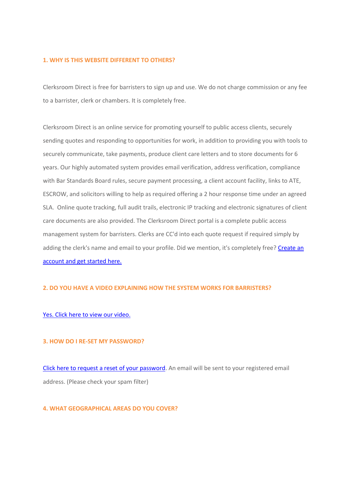### **1. WHY IS THIS WEBSITE DIFFERENT TO OTHERS?**

Clerksroom Direct is free for barristers to sign up and use. We do not charge commission or any fee to a barrister, clerk or chambers. It is completely free.

Clerksroom Direct is an online service for promoting yourself to public access clients, securely sending quotes and responding to opportunities for work, in addition to providing you with tools to securely communicate, take payments, produce client care letters and to store documents for 6 years. Our highly automated system provides email verification, address verification, compliance with Bar Standards Board rules, secure payment processing, a client account facility, links to ATE, ESCROW, and solicitors willing to help as required offering a 2 hour response time under an agreed SLA. Online quote tracking, full audit trails, electronic IP tracking and electronic signatures of client care documents are also provided. The Clerksroom Direct portal is a complete public access management system for barristers. Clerks are CC'd into each quote request if required simply by adding the clerk's name and email to your profile. Did we mention, it's completely free? Create an [account and get started here.](http://www.clerksroomdirect.com/register)

### **2. DO YOU HAVE A VIDEO EXPLAINING HOW THE SYSTEM WORKS FOR BARRISTERS?**

### [Yes. Click here to view our video.](http://youtu.be/n_pbNcYQC2w)

# **3. HOW DO I RE-SET MY PASSWORD?**

[Click here to request a reset of your password.](http://www.clerksroomdirect.com/password) An email will be sent to your registered email address. (Please check your spam filter)

# **4. WHAT GEOGRAPHICAL AREAS DO YOU COVER?**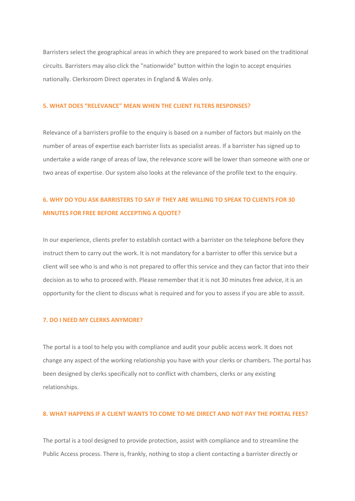Barristers select the geographical areas in which they are prepared to work based on the traditional circuits. Barristers may also click the "nationwide" button within the login to accept enquiries nationally. Clerksroom Direct operates in England & Wales only.

### **5. WHAT DOES "RELEVANCE" MEAN WHEN THE CLIENT FILTERS RESPONSES?**

Relevance of a barristers profile to the enquiry is based on a number of factors but mainly on the number of areas of expertise each barrister lists as specialist areas. If a barrister has signed up to undertake a wide range of areas of law, the relevance score will be lower than someone with one or two areas of expertise. Our system also looks at the relevance of the profile text to the enquiry.

# **6. WHY DO YOU ASK BARRISTERS TO SAY IF THEY ARE WILLING TO SPEAK TO CLIENTS FOR 30 MINUTES FOR FREE BEFORE ACCEPTING A QUOTE?**

In our experience, clients prefer to establish contact with a barrister on the telephone before they instruct them to carry out the work. It is not mandatory for a barrister to offer this service but a client will see who is and who is not prepared to offer this service and they can factor that into their decision as to who to proceed with. Please remember that it is not 30 minutes free advice, it is an opportunity for the client to discuss what is required and for you to assess if you are able to asssit.

### **7. DO I NEED MY CLERKS ANYMORE?**

The portal is a tool to help you with compliance and audit your public access work. It does not change any aspect of the working relationship you have with your clerks or chambers. The portal has been designed by clerks specifically not to conflict with chambers, clerks or any existing relationships.

# **8. WHAT HAPPENS IF A CLIENT WANTS TO COME TO ME DIRECT AND NOT PAY THE PORTAL FEES?**

The portal is a tool designed to provide protection, assist with compliance and to streamline the Public Access process. There is, frankly, nothing to stop a client contacting a barrister directly or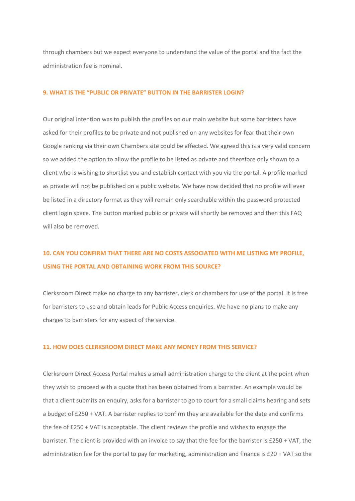through chambers but we expect everyone to understand the value of the portal and the fact the administration fee is nominal.

#### **9. WHAT IS THE "PUBLIC OR PRIVATE" BUTTON IN THE BARRISTER LOGIN?**

Our original intention was to publish the profiles on our main website but some barristers have asked for their profiles to be private and not published on any websites for fear that their own Google ranking via their own Chambers site could be affected. We agreed this is a very valid concern so we added the option to allow the profile to be listed as private and therefore only shown to a client who is wishing to shortlist you and establish contact with you via the portal. A profile marked as private will not be published on a public website. We have now decided that no profile will ever be listed in a directory format as they will remain only searchable within the password protected client login space. The button marked public or private will shortly be removed and then this FAQ will also be removed.

# **10. CAN YOU CONFIRM THAT THERE ARE NO COSTS ASSOCIATED WITH ME LISTING MY PROFILE, USING THE PORTAL AND OBTAINING WORK FROM THIS SOURCE?**

Clerksroom Direct make no charge to any barrister, clerk or chambers for use of the portal. It is free for barristers to use and obtain leads for Public Access enquiries. We have no plans to make any charges to barristers for any aspect of the service.

### **11. HOW DOES CLERKSROOM DIRECT MAKE ANY MONEY FROM THIS SERVICE?**

Clerksroom Direct Access Portal makes a small administration charge to the client at the point when they wish to proceed with a quote that has been obtained from a barrister. An example would be that a client submits an enquiry, asks for a barrister to go to court for a small claims hearing and sets a budget of £250 + VAT. A barrister replies to confirm they are available for the date and confirms the fee of £250 + VAT is acceptable. The client reviews the profile and wishes to engage the barrister. The client is provided with an invoice to say that the fee for the barrister is £250 + VAT, the administration fee for the portal to pay for marketing, administration and finance is £20 + VAT so the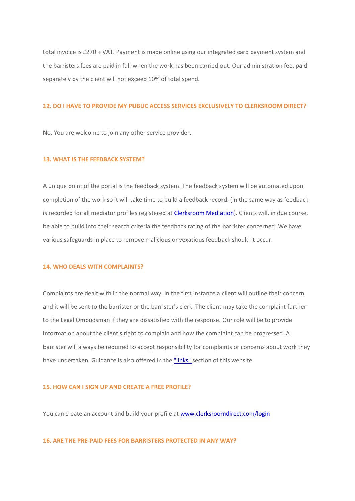total invoice is £270 + VAT. Payment is made online using our integrated card payment system and the barristers fees are paid in full when the work has been carried out. Our administration fee, paid separately by the client will not exceed 10% of total spend.

### **12. DO I HAVE TO PROVIDE MY PUBLIC ACCESS SERVICES EXCLUSIVELY TO CLERKSROOM DIRECT?**

No. You are welcome to join any other service provider.

# **13. WHAT IS THE FEEDBACK SYSTEM?**

A unique point of the portal is the feedback system. The feedback system will be automated upon completion of the work so it will take time to build a feedback record. (In the same way as feedback is recorded for all mediator profiles registered at [Clerksroom Mediation\)](http://www.clerksroom.com/mediators.php). Clients will, in due course, be able to build into their search criteria the feedback rating of the barrister concerned. We have various safeguards in place to remove malicious or vexatious feedback should it occur.

# **14. WHO DEALS WITH COMPLAINTS?**

Complaints are dealt with in the normal way. In the first instance a client will outline their concern and it will be sent to the barrister or the barrister's clerk. The client may take the complaint further to the Legal Ombudsman if they are dissatisfied with the response. Our role will be to provide information about the client's right to complain and how the complaint can be progressed. A barrister will always be required to accept responsibility for complaints or concerns about work they have undertaken. Guidance is also offered in the ["links" s](http://www.clerksroomdirect.com/36-links)ection of this website.

### **15. HOW CAN I SIGN UP AND CREATE A FREE PROFILE?**

You can create an account and build your profile at [www.clerksroomdirect.com/login](http://www.clerksroomdirect.com/login)

### **16. ARE THE PRE-PAID FEES FOR BARRISTERS PROTECTED IN ANY WAY?**